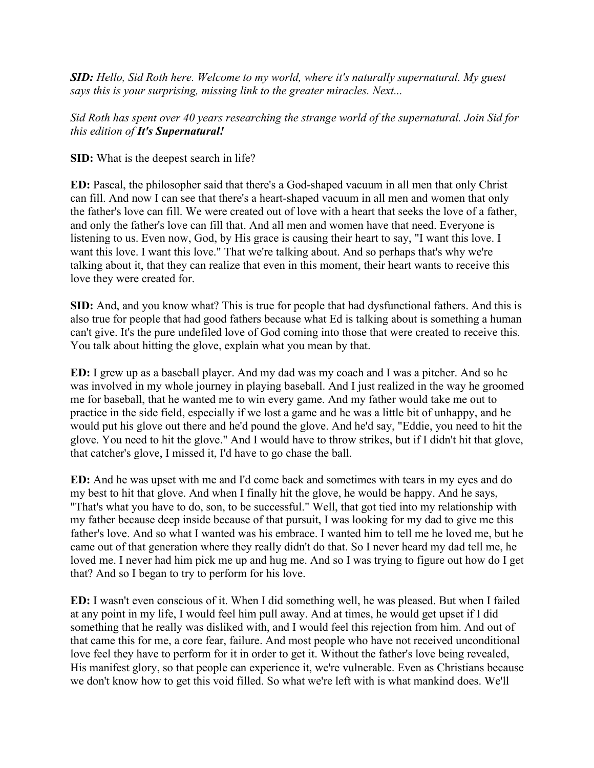*SID: Hello, Sid Roth here. Welcome to my world, where it's naturally supernatural. My guest says this is your surprising, missing link to the greater miracles. Next...*

*Sid Roth has spent over 40 years researching the strange world of the supernatural. Join Sid for this edition of It's Supernatural!*

**SID:** What is the deepest search in life?

**ED:** Pascal, the philosopher said that there's a God-shaped vacuum in all men that only Christ can fill. And now I can see that there's a heart-shaped vacuum in all men and women that only the father's love can fill. We were created out of love with a heart that seeks the love of a father, and only the father's love can fill that. And all men and women have that need. Everyone is listening to us. Even now, God, by His grace is causing their heart to say, "I want this love. I want this love. I want this love." That we're talking about. And so perhaps that's why we're talking about it, that they can realize that even in this moment, their heart wants to receive this love they were created for.

**SID:** And, and you know what? This is true for people that had dysfunctional fathers. And this is also true for people that had good fathers because what Ed is talking about is something a human can't give. It's the pure undefiled love of God coming into those that were created to receive this. You talk about hitting the glove, explain what you mean by that.

**ED:** I grew up as a baseball player. And my dad was my coach and I was a pitcher. And so he was involved in my whole journey in playing baseball. And I just realized in the way he groomed me for baseball, that he wanted me to win every game. And my father would take me out to practice in the side field, especially if we lost a game and he was a little bit of unhappy, and he would put his glove out there and he'd pound the glove. And he'd say, "Eddie, you need to hit the glove. You need to hit the glove." And I would have to throw strikes, but if I didn't hit that glove, that catcher's glove, I missed it, I'd have to go chase the ball.

**ED:** And he was upset with me and I'd come back and sometimes with tears in my eyes and do my best to hit that glove. And when I finally hit the glove, he would be happy. And he says, "That's what you have to do, son, to be successful." Well, that got tied into my relationship with my father because deep inside because of that pursuit, I was looking for my dad to give me this father's love. And so what I wanted was his embrace. I wanted him to tell me he loved me, but he came out of that generation where they really didn't do that. So I never heard my dad tell me, he loved me. I never had him pick me up and hug me. And so I was trying to figure out how do I get that? And so I began to try to perform for his love.

**ED:** I wasn't even conscious of it. When I did something well, he was pleased. But when I failed at any point in my life, I would feel him pull away. And at times, he would get upset if I did something that he really was disliked with, and I would feel this rejection from him. And out of that came this for me, a core fear, failure. And most people who have not received unconditional love feel they have to perform for it in order to get it. Without the father's love being revealed, His manifest glory, so that people can experience it, we're vulnerable. Even as Christians because we don't know how to get this void filled. So what we're left with is what mankind does. We'll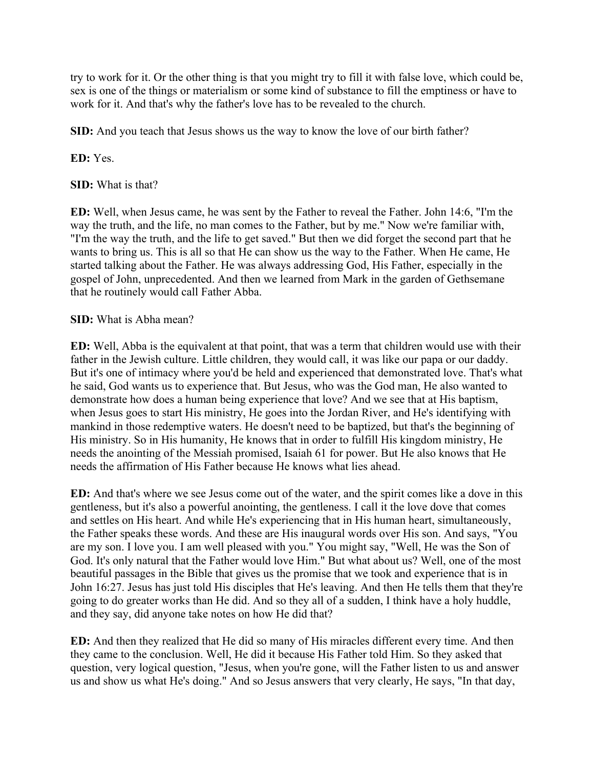try to work for it. Or the other thing is that you might try to fill it with false love, which could be, sex is one of the things or materialism or some kind of substance to fill the emptiness or have to work for it. And that's why the father's love has to be revealed to the church.

**SID:** And you teach that Jesus shows us the way to know the love of our birth father?

**ED:** Yes.

**SID:** What is that?

**ED:** Well, when Jesus came, he was sent by the Father to reveal the Father. John 14:6, "I'm the way the truth, and the life, no man comes to the Father, but by me." Now we're familiar with, "I'm the way the truth, and the life to get saved." But then we did forget the second part that he wants to bring us. This is all so that He can show us the way to the Father. When He came, He started talking about the Father. He was always addressing God, His Father, especially in the gospel of John, unprecedented. And then we learned from Mark in the garden of Gethsemane that he routinely would call Father Abba.

## **SID:** What is Abha mean?

**ED:** Well, Abba is the equivalent at that point, that was a term that children would use with their father in the Jewish culture. Little children, they would call, it was like our papa or our daddy. But it's one of intimacy where you'd be held and experienced that demonstrated love. That's what he said, God wants us to experience that. But Jesus, who was the God man, He also wanted to demonstrate how does a human being experience that love? And we see that at His baptism, when Jesus goes to start His ministry, He goes into the Jordan River, and He's identifying with mankind in those redemptive waters. He doesn't need to be baptized, but that's the beginning of His ministry. So in His humanity, He knows that in order to fulfill His kingdom ministry, He needs the anointing of the Messiah promised, Isaiah 61 for power. But He also knows that He needs the affirmation of His Father because He knows what lies ahead.

**ED:** And that's where we see Jesus come out of the water, and the spirit comes like a dove in this gentleness, but it's also a powerful anointing, the gentleness. I call it the love dove that comes and settles on His heart. And while He's experiencing that in His human heart, simultaneously, the Father speaks these words. And these are His inaugural words over His son. And says, "You are my son. I love you. I am well pleased with you." You might say, "Well, He was the Son of God. It's only natural that the Father would love Him." But what about us? Well, one of the most beautiful passages in the Bible that gives us the promise that we took and experience that is in John 16:27. Jesus has just told His disciples that He's leaving. And then He tells them that they're going to do greater works than He did. And so they all of a sudden, I think have a holy huddle, and they say, did anyone take notes on how He did that?

**ED:** And then they realized that He did so many of His miracles different every time. And then they came to the conclusion. Well, He did it because His Father told Him. So they asked that question, very logical question, "Jesus, when you're gone, will the Father listen to us and answer us and show us what He's doing." And so Jesus answers that very clearly, He says, "In that day,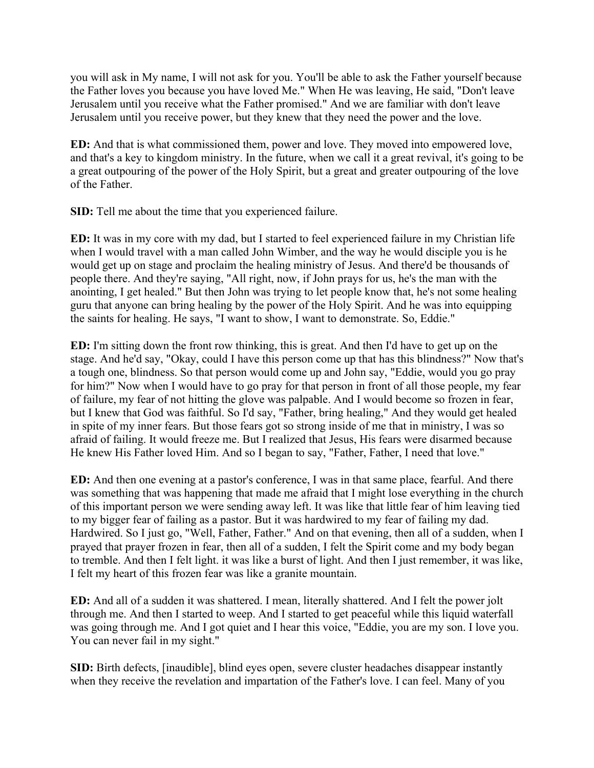you will ask in My name, I will not ask for you. You'll be able to ask the Father yourself because the Father loves you because you have loved Me." When He was leaving, He said, "Don't leave Jerusalem until you receive what the Father promised." And we are familiar with don't leave Jerusalem until you receive power, but they knew that they need the power and the love.

**ED:** And that is what commissioned them, power and love. They moved into empowered love, and that's a key to kingdom ministry. In the future, when we call it a great revival, it's going to be a great outpouring of the power of the Holy Spirit, but a great and greater outpouring of the love of the Father.

**SID:** Tell me about the time that you experienced failure.

**ED:** It was in my core with my dad, but I started to feel experienced failure in my Christian life when I would travel with a man called John Wimber, and the way he would disciple you is he would get up on stage and proclaim the healing ministry of Jesus. And there'd be thousands of people there. And they're saying, "All right, now, if John prays for us, he's the man with the anointing, I get healed." But then John was trying to let people know that, he's not some healing guru that anyone can bring healing by the power of the Holy Spirit. And he was into equipping the saints for healing. He says, "I want to show, I want to demonstrate. So, Eddie."

**ED:** I'm sitting down the front row thinking, this is great. And then I'd have to get up on the stage. And he'd say, "Okay, could I have this person come up that has this blindness?" Now that's a tough one, blindness. So that person would come up and John say, "Eddie, would you go pray for him?" Now when I would have to go pray for that person in front of all those people, my fear of failure, my fear of not hitting the glove was palpable. And I would become so frozen in fear, but I knew that God was faithful. So I'd say, "Father, bring healing," And they would get healed in spite of my inner fears. But those fears got so strong inside of me that in ministry, I was so afraid of failing. It would freeze me. But I realized that Jesus, His fears were disarmed because He knew His Father loved Him. And so I began to say, "Father, Father, I need that love."

**ED:** And then one evening at a pastor's conference, I was in that same place, fearful. And there was something that was happening that made me afraid that I might lose everything in the church of this important person we were sending away left. It was like that little fear of him leaving tied to my bigger fear of failing as a pastor. But it was hardwired to my fear of failing my dad. Hardwired. So I just go, "Well, Father, Father." And on that evening, then all of a sudden, when I prayed that prayer frozen in fear, then all of a sudden, I felt the Spirit come and my body began to tremble. And then I felt light. it was like a burst of light. And then I just remember, it was like, I felt my heart of this frozen fear was like a granite mountain.

**ED:** And all of a sudden it was shattered. I mean, literally shattered. And I felt the power jolt through me. And then I started to weep. And I started to get peaceful while this liquid waterfall was going through me. And I got quiet and I hear this voice, "Eddie, you are my son. I love you. You can never fail in my sight."

**SID:** Birth defects, [inaudible], blind eyes open, severe cluster headaches disappear instantly when they receive the revelation and impartation of the Father's love. I can feel. Many of you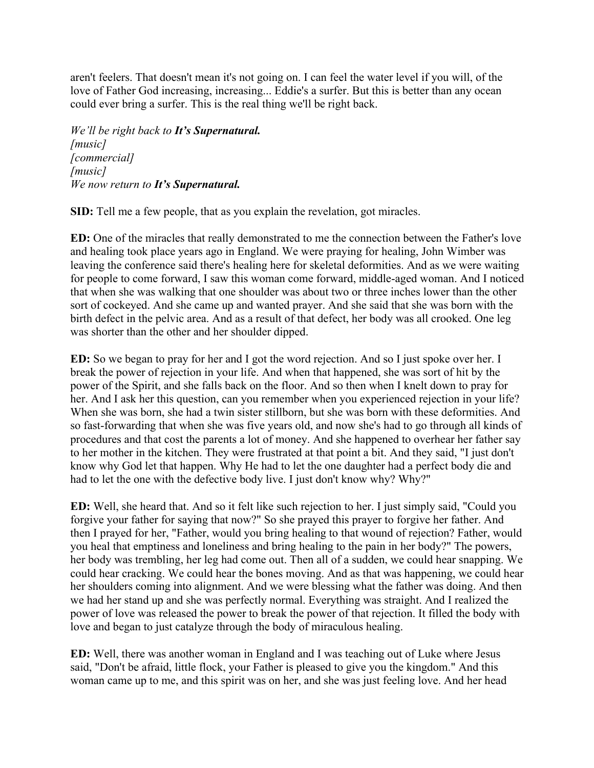aren't feelers. That doesn't mean it's not going on. I can feel the water level if you will, of the love of Father God increasing, increasing... Eddie's a surfer. But this is better than any ocean could ever bring a surfer. This is the real thing we'll be right back.

*We'll be right back to It's Supernatural. [music] [commercial] [music] We now return to It's Supernatural.*

**SID:** Tell me a few people, that as you explain the revelation, got miracles.

**ED:** One of the miracles that really demonstrated to me the connection between the Father's love and healing took place years ago in England. We were praying for healing, John Wimber was leaving the conference said there's healing here for skeletal deformities. And as we were waiting for people to come forward, I saw this woman come forward, middle-aged woman. And I noticed that when she was walking that one shoulder was about two or three inches lower than the other sort of cockeyed. And she came up and wanted prayer. And she said that she was born with the birth defect in the pelvic area. And as a result of that defect, her body was all crooked. One leg was shorter than the other and her shoulder dipped.

**ED:** So we began to pray for her and I got the word rejection. And so I just spoke over her. I break the power of rejection in your life. And when that happened, she was sort of hit by the power of the Spirit, and she falls back on the floor. And so then when I knelt down to pray for her. And I ask her this question, can you remember when you experienced rejection in your life? When she was born, she had a twin sister stillborn, but she was born with these deformities. And so fast-forwarding that when she was five years old, and now she's had to go through all kinds of procedures and that cost the parents a lot of money. And she happened to overhear her father say to her mother in the kitchen. They were frustrated at that point a bit. And they said, "I just don't know why God let that happen. Why He had to let the one daughter had a perfect body die and had to let the one with the defective body live. I just don't know why? Why?"

**ED:** Well, she heard that. And so it felt like such rejection to her. I just simply said, "Could you forgive your father for saying that now?" So she prayed this prayer to forgive her father. And then I prayed for her, "Father, would you bring healing to that wound of rejection? Father, would you heal that emptiness and loneliness and bring healing to the pain in her body?" The powers, her body was trembling, her leg had come out. Then all of a sudden, we could hear snapping. We could hear cracking. We could hear the bones moving. And as that was happening, we could hear her shoulders coming into alignment. And we were blessing what the father was doing. And then we had her stand up and she was perfectly normal. Everything was straight. And I realized the power of love was released the power to break the power of that rejection. It filled the body with love and began to just catalyze through the body of miraculous healing.

**ED:** Well, there was another woman in England and I was teaching out of Luke where Jesus said, "Don't be afraid, little flock, your Father is pleased to give you the kingdom." And this woman came up to me, and this spirit was on her, and she was just feeling love. And her head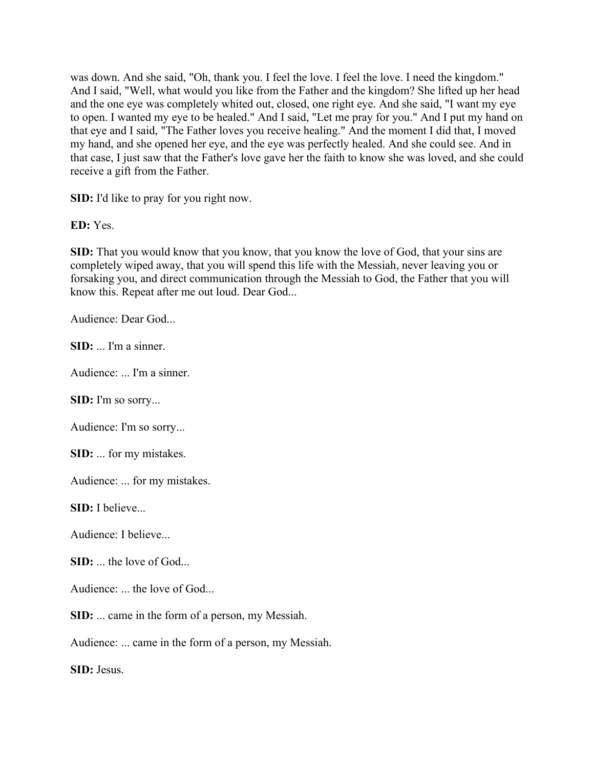was down. And she said, "Oh, thank you. I feel the love. I feel the love. I need the kingdom." And I said, "Well, what would you like from the Father and the kingdom? She lifted up her head and the one eye was completely whited out, closed, one right eye. And she said, "I want my eye to open. I wanted my eye to be healed." And I said, "Let me pray for you." And I put my hand on that eye and I said, "The Father loves you receive healing." And the moment I did that, I moved my hand, and she opened her eye, and the eye was perfectly healed. And she could see. And in that case, I just saw that the Father's love gave her the faith to know she was loved, and she could receive a gift from the Father.

**SID:** I'd like to pray for you right now.

**ED:** Yes.

**SID:** That you would know that you know, that you know the love of God, that your sins are completely wiped away, that you will spend this life with the Messiah, never leaving you or forsaking you, and direct communication through the Messiah to God, the Father that you will know this. Repeat after me out loud. Dear God...

Audience: Dear God...

**SID:** ... I'm a sinner.

Audience: ... I'm a sinner.

**SID:** I'm so sorry...

Audience: I'm so sorry...

**SID:** ... for my mistakes.

Audience: ... for my mistakes.

**SID:** I believe...

Audience: I believe...

**SID:** ... the love of God...

Audience: ... the love of God...

**SID:** ... came in the form of a person, my Messiah.

Audience: ... came in the form of a person, my Messiah.

**SID:** Jesus.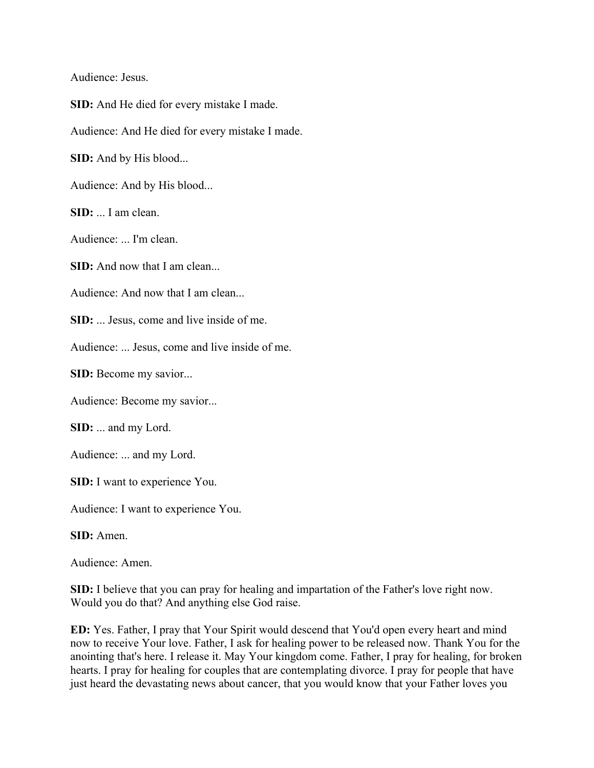Audience: Jesus.

**SID:** And He died for every mistake I made.

Audience: And He died for every mistake I made.

**SID:** And by His blood...

Audience: And by His blood...

**SID:** ... I am clean.

Audience: ... I'm clean.

**SID:** And now that I am clean...

Audience: And now that I am clean...

**SID:** ... Jesus, come and live inside of me.

Audience: ... Jesus, come and live inside of me.

**SID:** Become my savior...

Audience: Become my savior...

**SID:** ... and my Lord.

Audience: ... and my Lord.

**SID:** I want to experience You.

Audience: I want to experience You.

**SID:** Amen.

Audience: Amen.

**SID:** I believe that you can pray for healing and impartation of the Father's love right now. Would you do that? And anything else God raise.

**ED:** Yes. Father, I pray that Your Spirit would descend that You'd open every heart and mind now to receive Your love. Father, I ask for healing power to be released now. Thank You for the anointing that's here. I release it. May Your kingdom come. Father, I pray for healing, for broken hearts. I pray for healing for couples that are contemplating divorce. I pray for people that have just heard the devastating news about cancer, that you would know that your Father loves you